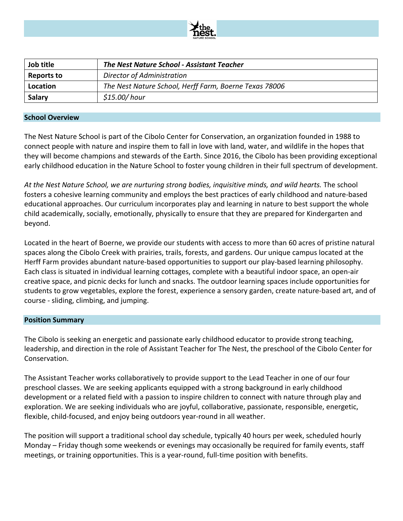

| Job title         | <b>The Nest Nature School - Assistant Teacher</b>      |
|-------------------|--------------------------------------------------------|
| <b>Reports to</b> | Director of Administration                             |
| Location          | The Nest Nature School, Herff Farm, Boerne Texas 78006 |
| Salary            | \$15.00/hour                                           |

#### **School Overview**

The Nest Nature School is part of the Cibolo Center for Conservation, an organization founded in 1988 to connect people with nature and inspire them to fall in love with land, water, and wildlife in the hopes that they will become champions and stewards of the Earth. Since 2016, the Cibolo has been providing exceptional early childhood education in the Nature School to foster young children in their full spectrum of development.

*At the Nest Nature School, we are nurturing strong bodies, inquisitive minds, and wild hearts.* The school fosters a cohesive learning community and employs the best practices of early childhood and nature-based educational approaches. Our curriculum incorporates play and learning in nature to best support the whole child academically, socially, emotionally, physically to ensure that they are prepared for Kindergarten and beyond.

Located in the heart of Boerne, we provide our students with access to more than 60 acres of pristine natural spaces along the Cibolo Creek with prairies, trails, forests, and gardens. Our unique campus located at the Herff Farm provides abundant nature-based opportunities to support our play-based learning philosophy. Each class is situated in individual learning cottages, complete with a beautiful indoor space, an open-air creative space, and picnic decks for lunch and snacks. The outdoor learning spaces include opportunities for students to grow vegetables, explore the forest, experience a sensory garden, create nature-based art, and of course - sliding, climbing, and jumping.

#### **Position Summary**

The Cibolo is seeking an energetic and passionate early childhood educator to provide strong teaching, leadership, and direction in the role of Assistant Teacher for The Nest, the preschool of the Cibolo Center for Conservation.

The Assistant Teacher works collaboratively to provide support to the Lead Teacher in one of our four preschool classes. We are seeking applicants equipped with a strong background in early childhood development or a related field with a passion to inspire children to connect with nature through play and exploration. We are seeking individuals who are joyful, collaborative, passionate, responsible, energetic, flexible, child-focused, and enjoy being outdoors year-round in all weather.

The position will support a traditional school day schedule, typically 40 hours per week, scheduled hourly Monday – Friday though some weekends or evenings may occasionally be required for family events, staff meetings, or training opportunities. This is a year-round, full-time position with benefits.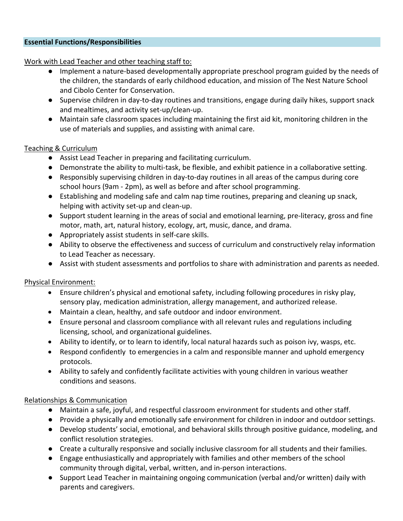#### **Essential Functions/Responsibilities**

Work with Lead Teacher and other teaching staff to:

- Implement a nature-based developmentally appropriate preschool program guided by the needs of the children, the standards of early childhood education, and mission of The Nest Nature School and Cibolo Center for Conservation.
- Supervise children in day-to-day routines and transitions, engage during daily hikes, support snack and mealtimes, and activity set-up/clean-up.
- Maintain safe classroom spaces including maintaining the first aid kit, monitoring children in the use of materials and supplies, and assisting with animal care.

### Teaching & Curriculum

- Assist Lead Teacher in preparing and facilitating curriculum.
- Demonstrate the ability to multi-task, be flexible, and exhibit patience in a collaborative setting.
- Responsibly supervising children in day-to-day routines in all areas of the campus during core school hours (9am - 2pm), as well as before and after school programming.
- Establishing and modeling safe and calm nap time routines, preparing and cleaning up snack, helping with activity set-up and clean-up.
- Support student learning in the areas of social and emotional learning, pre-literacy, gross and fine motor, math, art, natural history, ecology, art, music, dance, and drama.
- Appropriately assist students in self-care skills.
- Ability to observe the effectiveness and success of curriculum and constructively relay information to Lead Teacher as necessary.
- Assist with student assessments and portfolios to share with administration and parents as needed.

# Physical Environment:

- Ensure children's physical and emotional safety, including following procedures in risky play, sensory play, medication administration, allergy management, and authorized release.
- Maintain a clean, healthy, and safe outdoor and indoor environment.
- Ensure personal and classroom compliance with all relevant rules and regulations including licensing, school, and organizational guidelines.
- Ability to identify, or to learn to identify, local natural hazards such as poison ivy, wasps, etc.
- Respond confidently to emergencies in a calm and responsible manner and uphold emergency protocols.
- Ability to safely and confidently facilitate activities with young children in various weather conditions and seasons.

# Relationships & Communication

- Maintain a safe, joyful, and respectful classroom environment for students and other staff.
- Provide a physically and emotionally safe environment for children in indoor and outdoor settings.
- Develop students' social, emotional, and behavioral skills through positive guidance, modeling, and conflict resolution strategies.
- Create a culturally responsive and socially inclusive classroom for all students and their families.
- Engage enthusiastically and appropriately with families and other members of the school community through digital, verbal, written, and in-person interactions.
- Support Lead Teacher in maintaining ongoing communication (verbal and/or written) daily with parents and caregivers.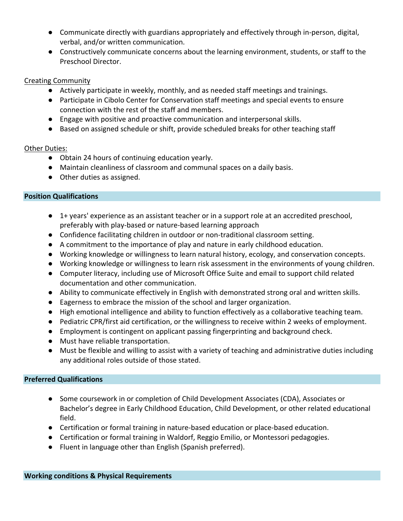- Communicate directly with guardians appropriately and effectively through in-person, digital, verbal, and/or written communication.
- Constructively communicate concerns about the learning environment, students, or staff to the Preschool Director.

## Creating Community

- Actively participate in weekly, monthly, and as needed staff meetings and trainings.
- Participate in Cibolo Center for Conservation staff meetings and special events to ensure connection with the rest of the staff and members.
- Engage with positive and proactive communication and interpersonal skills.
- Based on assigned schedule or shift, provide scheduled breaks for other teaching staff

# Other Duties:

- Obtain 24 hours of continuing education yearly.
- Maintain cleanliness of classroom and communal spaces on a daily basis.
- Other duties as assigned.

# **Position Qualifications**

- 1+ years' experience as an assistant teacher or in a support role at an accredited preschool, preferably with play-based or nature-based learning approach
- Confidence facilitating children in outdoor or non-traditional classroom setting.
- A commitment to the importance of play and nature in early childhood education.
- Working knowledge or willingness to learn natural history, ecology, and conservation concepts.
- Working knowledge or willingness to learn risk assessment in the environments of young children.
- Computer literacy, including use of Microsoft Office Suite and email to support child related documentation and other communication.
- Ability to communicate effectively in English with demonstrated strong oral and written skills.
- Eagerness to embrace the mission of the school and larger organization.
- High emotional intelligence and ability to function effectively as a collaborative teaching team.
- Pediatric CPR/first aid certification, or the willingness to receive within 2 weeks of employment.
- Employment is contingent on applicant passing fingerprinting and background check.
- Must have reliable transportation.
- Must be flexible and willing to assist with a variety of teaching and administrative duties including any additional roles outside of those stated.

# **Preferred Qualifications**

- Some coursework in or completion of Child Development Associates (CDA), Associates or Bachelor's degree in Early Childhood Education, Child Development, or other related educational field.
- Certification or formal training in nature-based education or place-based education.
- Certification or formal training in Waldorf, Reggio Emilio, or Montessori pedagogies.
- Fluent in language other than English (Spanish preferred).